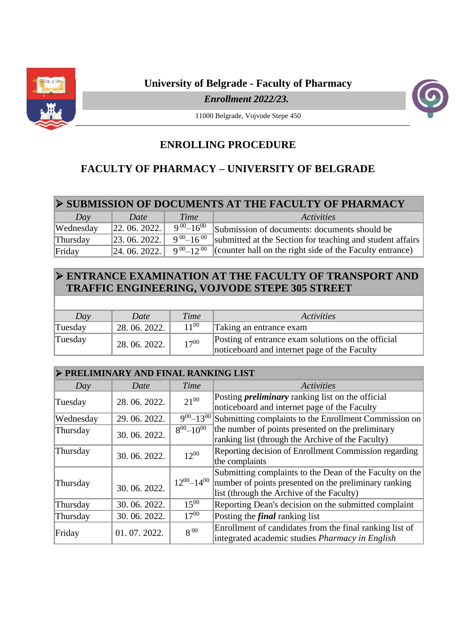

**University of Belgrade - Faculty of Pharmacy**

*Enrollment 2022/23.* 



11000 Belgrade, Vojvode Stepe 450

## **ENROLLING PROCEDURE**

## **FACULTY OF PHARMACY – UNIVERSITY OF BELGRADE**

| Day       | Date                              | Time               | Activities                                                                                          |
|-----------|-----------------------------------|--------------------|-----------------------------------------------------------------------------------------------------|
| Wednesday | 22.06.2022.                       | $9^{00} - 16^{00}$ | Submission of documents: documents should be                                                        |
| Thursday  | 23.06.2022. $9^{00} - 16^{00}$ i. |                    | submitted at the Section for teaching and student affairs                                           |
| Friday    |                                   |                    | [24. 06. 2022.] $9^{00}$ –12 <sup>00</sup> (counter hall on the right side of the Faculty entrance) |

## **ENTRANCE EXAMINATION AT THE FACULTY OF TRANSPORT AND TRAFFIC ENGINEERING, VOJVODE STEPE 305 STREET**

| Day     | Date          | Time      | <i><u>Activities</u></i>                                                                           |
|---------|---------------|-----------|----------------------------------------------------------------------------------------------------|
| Tuesday | 28.06.2022.   | $11^{00}$ | Taking an entrance exam                                                                            |
| Tuesday | 28, 06, 2022. | $17^{00}$ | Posting of entrance exam solutions on the official<br>noticeboard and internet page of the Faculty |

| > PRELIMINARY AND FINAL RANKING LIST |             |                     |                                                                                                                                                               |  |  |
|--------------------------------------|-------------|---------------------|---------------------------------------------------------------------------------------------------------------------------------------------------------------|--|--|
| Day                                  | Date        | Time                | <b>Activities</b>                                                                                                                                             |  |  |
| Tuesday                              | 28.06.2022. | $21^{00}$           | Posting <i>preliminary</i> ranking list on the official<br>noticeboard and internet page of the Faculty                                                       |  |  |
| Wednesday                            | 29.06.2022. | $9^{00} - 13^{00}$  | Submitting complaints to the Enrollment Commission on                                                                                                         |  |  |
| Thursday                             | 30.06.2022. | $8^{00} - 10^{00}$  | the number of points presented on the preliminary<br>ranking list (through the Archive of the Faculty)                                                        |  |  |
| Thursday                             | 30.06.2022. | $12^{00}$           | Reporting decision of Enrollment Commission regarding<br>the complaints                                                                                       |  |  |
| Thursday                             | 30.06.2022. | $12^{00} - 14^{00}$ | Submitting complaints to the Dean of the Faculty on the<br>number of points presented on the preliminary ranking<br>list (through the Archive of the Faculty) |  |  |
| Thursday                             | 30.06.2022. | $15^{00}$           | Reporting Dean's decision on the submitted complaint                                                                                                          |  |  |
| Thursday                             | 30.06.2022. | $17^{00}$           | Posting the <i>final</i> ranking list                                                                                                                         |  |  |
| Friday                               | 01.07.2022. | $8^{00}$            | Enrollment of candidates from the final ranking list of<br>integrated academic studies <i>Pharmacy in English</i>                                             |  |  |